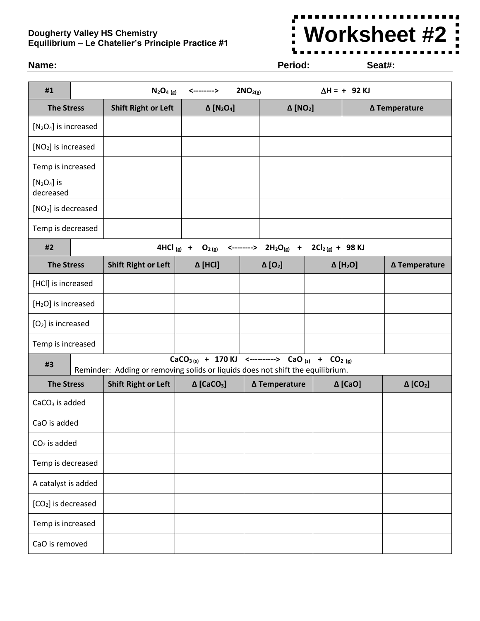## **Dougherty Valley HS Chemistry Equilibrium – Le Chatelier's Principle Practice #1**



## **Name: Period: Seat#:**

| #1                              |  | $N_2O_{4(g)}$                                                                                                                                               | <-------->                                | 2NO <sub>2(g)</sub> |                             |  | $\Delta H = + 92$ KJ        |                             |  |
|---------------------------------|--|-------------------------------------------------------------------------------------------------------------------------------------------------------------|-------------------------------------------|---------------------|-----------------------------|--|-----------------------------|-----------------------------|--|
| <b>The Stress</b>               |  | <b>Shift Right or Left</b>                                                                                                                                  | $\Delta$ [N <sub>2</sub> O <sub>4</sub> ] |                     | $\Delta$ [NO <sub>2</sub> ] |  | ∆ Temperature               |                             |  |
| $[N2O4]$ is increased           |  |                                                                                                                                                             |                                           |                     |                             |  |                             |                             |  |
| [NO <sub>2</sub> ] is increased |  |                                                                                                                                                             |                                           |                     |                             |  |                             |                             |  |
| Temp is increased               |  |                                                                                                                                                             |                                           |                     |                             |  |                             |                             |  |
| $[N2O4]$ is<br>decreased        |  |                                                                                                                                                             |                                           |                     |                             |  |                             |                             |  |
| [NO <sub>2</sub> ] is decreased |  |                                                                                                                                                             |                                           |                     |                             |  |                             |                             |  |
| Temp is decreased               |  |                                                                                                                                                             |                                           |                     |                             |  |                             |                             |  |
| #2                              |  | 4HCl $(g)$ +<br>$O_{2(g)}$ <--------> $2H_2O_{(g)}$ + $2Cl_{2(g)}$ + 98 KJ                                                                                  |                                           |                     |                             |  |                             |                             |  |
| <b>The Stress</b>               |  | <b>Shift Right or Left</b>                                                                                                                                  | Δ [HCI]                                   |                     | $\Delta$ [O <sub>2</sub> ]  |  | $\Delta$ [H <sub>2</sub> O] | ∆ Temperature               |  |
| [HCl] is increased              |  |                                                                                                                                                             |                                           |                     |                             |  |                             |                             |  |
| [H <sub>2</sub> O] is increased |  |                                                                                                                                                             |                                           |                     |                             |  |                             |                             |  |
| $[O2]$ is increased             |  |                                                                                                                                                             |                                           |                     |                             |  |                             |                             |  |
| Temp is increased               |  |                                                                                                                                                             |                                           |                     |                             |  |                             |                             |  |
| #3                              |  | $CaCO3 (s) + 170 KJ$ <----------> CaO <sub>(s)</sub> + CO <sub>2(g)</sub><br>Reminder: Adding or removing solids or liquids does not shift the equilibrium. |                                           |                     |                             |  |                             |                             |  |
| <b>The Stress</b>               |  | <b>Shift Right or Left</b>                                                                                                                                  | $\Delta$ [CaCO <sub>3</sub> ]             |                     | ∆ Temperature               |  | $\Delta$ [CaO]              | $\Delta$ [CO <sub>2</sub> ] |  |
| $CaCO3$ is added                |  |                                                                                                                                                             |                                           |                     |                             |  |                             |                             |  |
| CaO is added                    |  |                                                                                                                                                             |                                           |                     |                             |  |                             |                             |  |
| $CO2$ is added                  |  |                                                                                                                                                             |                                           |                     |                             |  |                             |                             |  |
| Temp is decreased               |  |                                                                                                                                                             |                                           |                     |                             |  |                             |                             |  |
| A catalyst is added             |  |                                                                                                                                                             |                                           |                     |                             |  |                             |                             |  |
| [CO <sub>2</sub> ] is decreased |  |                                                                                                                                                             |                                           |                     |                             |  |                             |                             |  |
| Temp is increased               |  |                                                                                                                                                             |                                           |                     |                             |  |                             |                             |  |
| CaO is removed                  |  |                                                                                                                                                             |                                           |                     |                             |  |                             |                             |  |